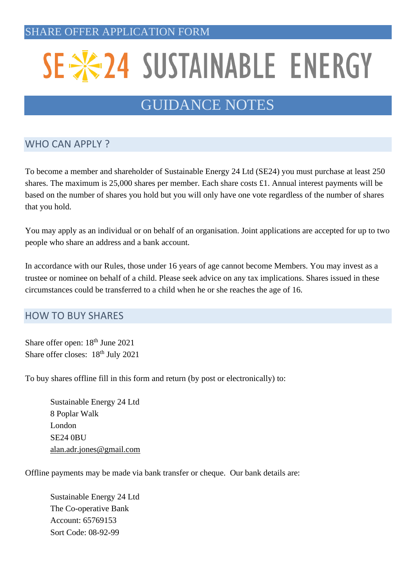# SE \*24 SUSTAINABLE ENERGY

# GUIDANCE NOTES

# WHO CAN APPLY ?

To become a member and shareholder of Sustainable Energy 24 Ltd (SE24) you must purchase at least 250 shares. The maximum is 25,000 shares per member. Each share costs £1. Annual interest payments will be based on the number of shares you hold but you will only have one vote regardless of the number of shares that you hold.

You may apply as an individual or on behalf of an organisation. Joint applications are accepted for up to two people who share an address and a bank account.

In accordance with our Rules, those under 16 years of age cannot become Members. You may invest as a trustee or nominee on behalf of a child. Please seek advice on any tax implications. Shares issued in these circumstances could be transferred to a child when he or she reaches the age of 16.

## HOW TO BUY SHARES

Share offer open:  $18<sup>th</sup>$  June 2021 Share offer closes: 18<sup>th</sup> July 2021

To buy shares offline fill in this form and return (by post or electronically) to:

Sustainable Energy 24 Ltd 8 Poplar Walk London SE24 0BU [alan.adr.jones@gmail.com](mailto:alan.adr.jones@gmail.com)

Offline payments may be made via bank transfer or cheque. Our bank details are:

Sustainable Energy 24 Ltd The Co-operative Bank Account: 65769153 Sort Code: 08-92-99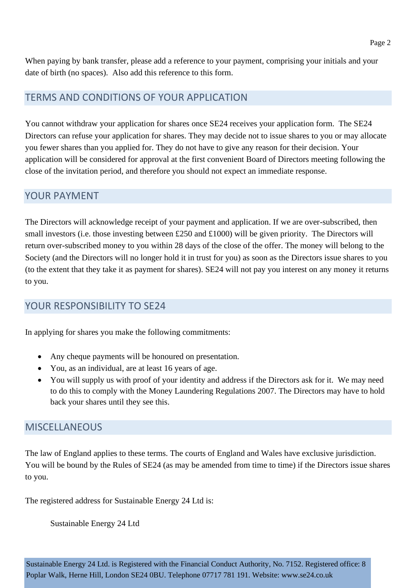When paying by bank transfer, please add a reference to your payment, comprising your initials and your date of birth (no spaces). Also add this reference to this form.

#### TERMS AND CONDITIONS OF YOUR APPLICATION

You cannot withdraw your application for shares once SE24 receives your application form. The SE24 Directors can refuse your application for shares. They may decide not to issue shares to you or may allocate you fewer shares than you applied for. They do not have to give any reason for their decision. Your application will be considered for approval at the first convenient Board of Directors meeting following the close of the invitation period, and therefore you should not expect an immediate response.

#### YOUR PAYMENT

The Directors will acknowledge receipt of your payment and application. If we are over-subscribed, then small investors (i.e. those investing between £250 and £1000) will be given priority. The Directors will return over-subscribed money to you within 28 days of the close of the offer. The money will belong to the Society (and the Directors will no longer hold it in trust for you) as soon as the Directors issue shares to you (to the extent that they take it as payment for shares). SE24 will not pay you interest on any money it returns to you.

#### YOUR RESPONSIBILITY TO SE24

In applying for shares you make the following commitments:

- Any cheque payments will be honoured on presentation.
- You, as an individual, are at least 16 years of age.
- You will supply us with proof of your identity and address if the Directors ask for it. We may need to do this to comply with the Money Laundering Regulations 2007. The Directors may have to hold back your shares until they see this.

#### MISCELLANEOUS

The law of England applies to these terms. The courts of England and Wales have exclusive jurisdiction. You will be bound by the Rules of SE24 (as may be amended from time to time) if the Directors issue shares to you.

The registered address for Sustainable Energy 24 Ltd is:

Sustainable Energy 24 Ltd

Page 2

Sustainable Energy 24 Ltd. is Registered with the Financial Conduct Authority, No. 7152. Registered office: 8 Poplar Walk, Herne Hill, London SE24 0BU. Telephone 07717 781 191. Website: www.se24.co.uk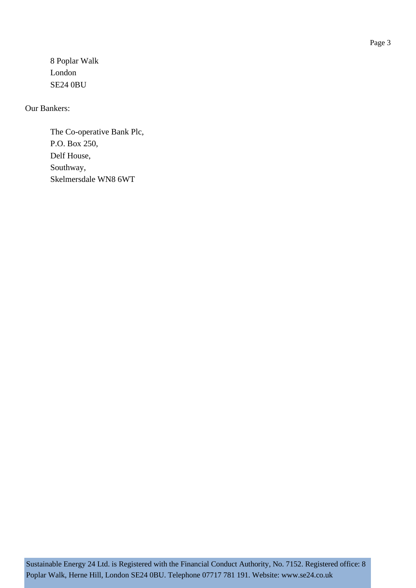8 Poplar Walk London SE24 0BU

Our Bankers:

The Co-operative Bank Plc, P.O. Box 250, Delf House, Southway, Skelmersdale WN8 6WT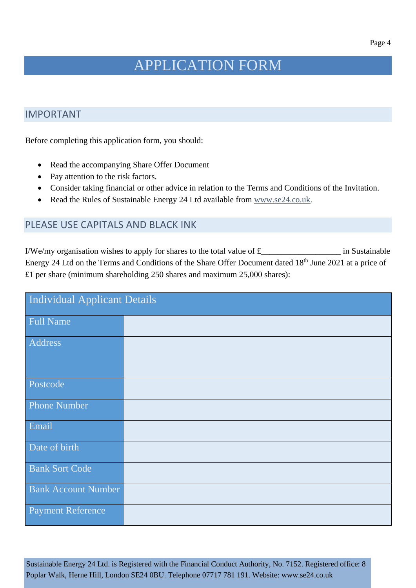# APPLICATION FORM

#### IMPORTANT

Before completing this application form, you should:

- Read the accompanying Share Offer Document
- Pay attention to the risk factors.
- Consider taking financial or other advice in relation to the Terms and Conditions of the Invitation.
- Read the Rules of Sustainable Energy 24 Ltd available from [www.se24.co.uk.](http://www.se24.co.uk/)

#### PLEASE USE CAPITALS AND BLACK INK

I/We/my organisation wishes to apply for shares to the total value of £\_\_\_\_\_\_\_\_\_\_\_\_\_\_\_\_\_\_\_ in Sustainable Energy 24 Ltd on the Terms and Conditions of the Share Offer Document dated 18<sup>th</sup> June 2021 at a price of £1 per share (minimum shareholding 250 shares and maximum 25,000 shares):

| <b>Individual Applicant Details</b> |  |  |
|-------------------------------------|--|--|
| <b>Full Name</b>                    |  |  |
| Address                             |  |  |
| Postcode                            |  |  |
| <b>Phone Number</b>                 |  |  |
| Email                               |  |  |
| Date of birth                       |  |  |
| <b>Bank Sort Code</b>               |  |  |
| <b>Bank Account Number</b>          |  |  |
| <b>Payment Reference</b>            |  |  |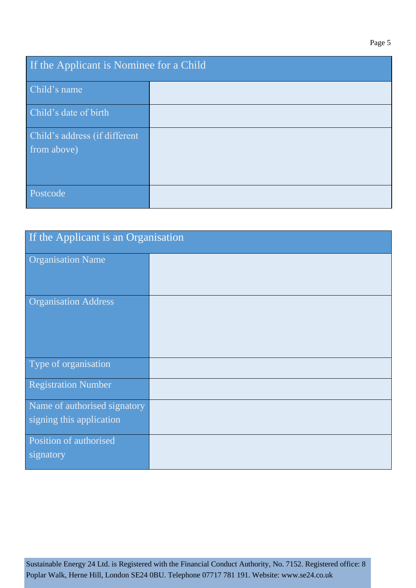| If the Applicant is Nominee for a Child      |  |  |
|----------------------------------------------|--|--|
| Child's name                                 |  |  |
| Child's date of birth                        |  |  |
| Child's address (if different<br>from above) |  |  |
| Postcode                                     |  |  |

| If the Applicant is an Organisation                      |  |  |
|----------------------------------------------------------|--|--|
| <b>Organisation Name</b>                                 |  |  |
| <b>Organisation Address</b>                              |  |  |
| Type of organisation                                     |  |  |
| <b>Registration Number</b>                               |  |  |
| Name of authorised signatory<br>signing this application |  |  |
| Position of authorised<br>signatory                      |  |  |

Sustainable Energy 24 Ltd. is Registered with the Financial Conduct Authority, No. 7152. Registered office: 8 Poplar Walk, Herne Hill, London SE24 0BU. Telephone 07717 781 191. Website: www.se24.co.uk